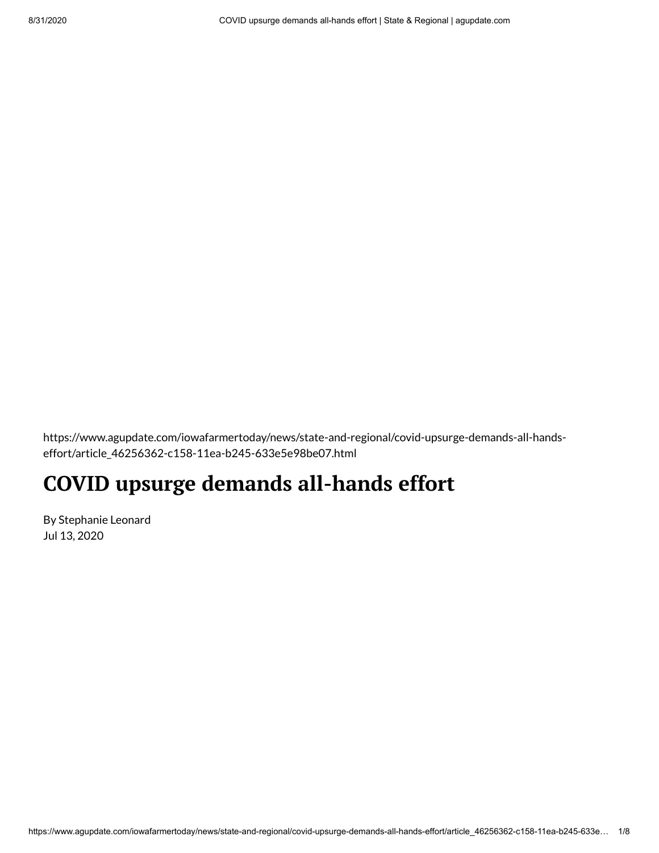https://www.agupdate.com/iowafarmertoday/news/state-and-regional/covid-upsurge-demands-all-handseffort/article\_46256362-c158-11ea-b245-633e5e98be07.html

## **COVID upsurge demands all-hands effort**

By Stephanie Leonard Jul 13, 2020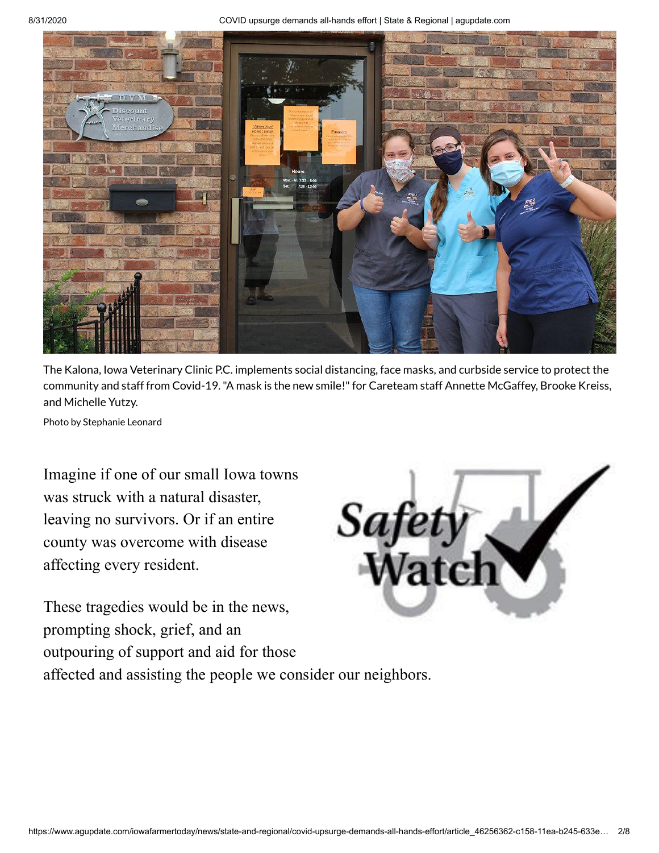8/31/2020 COVID upsurge demands all-hands effort | State & Regional | agupdate.com



The Kalona, Iowa Veterinary Clinic P.C. implements social distancing, face masks, and curbside service to protect the community and staff from Covid-19."A mask is the new smile!"for Careteam staff Annette McGaffey, Brooke Kreiss, and Michelle Yutzy.

Photo by Stephanie Leonard

Imagine if one of our small Iowa towns was struck with a natural disaster, leaving no survivors. Or if an entire county was overcome with disease affecting every resident.



These tragedies would be in the news, prompting shock, grief, and an outpouring of support and aid for those affected and assisting the people we consider our neighbors.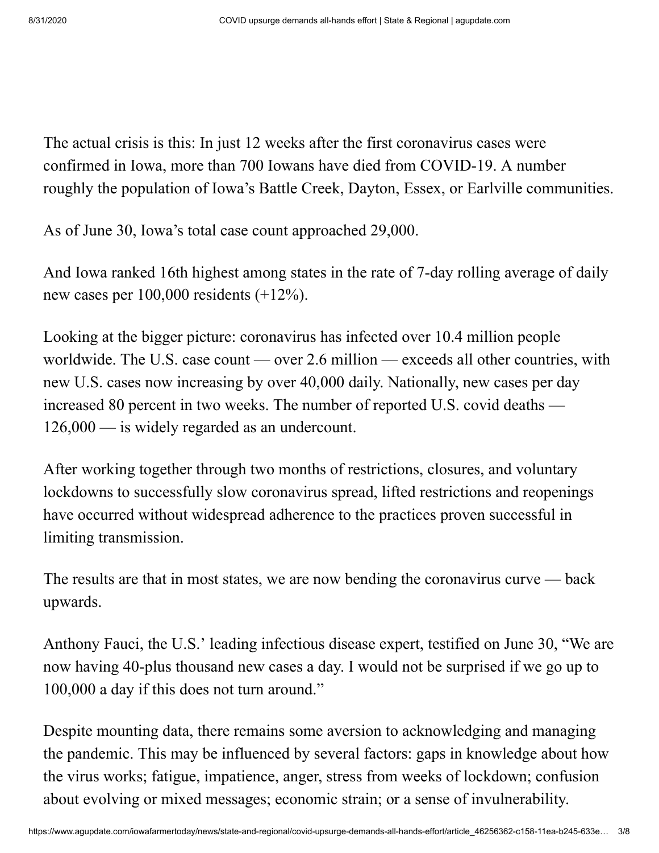The actual crisis is this: In just 12 weeks after the first coronavirus cases were confirmed in Iowa, more than 700 Iowans have died from COVID-19. A number roughly the population of Iowa's Battle Creek, Dayton, Essex, or Earlville communities.

As of June 30, Iowa's total case count approached 29,000.

And Iowa ranked 16th highest among states in the rate of 7-day rolling average of daily new cases per 100,000 residents (+12%).

Looking at the bigger picture: coronavirus has infected over 10.4 million people worldwide. The U.S. case count — over 2.6 million — exceeds all other countries, with new U.S. cases now increasing by over 40,000 daily. Nationally, new cases per day increased 80 percent in two weeks. The number of reported U.S. covid deaths — 126,000 — is widely regarded as an undercount.

After working together through two months of restrictions, closures, and voluntary lockdowns to successfully slow coronavirus spread, lifted restrictions and reopenings have occurred without widespread adherence to the practices proven successful in limiting transmission.

The results are that in most states, we are now bending the coronavirus curve — back upwards.

Anthony Fauci, the U.S.' leading infectious disease expert, testified on June 30, "We are now having 40-plus thousand new cases a day. I would not be surprised if we go up to 100,000 a day if this does not turn around."

Despite mounting data, there remains some aversion to acknowledging and managing the pandemic. This may be influenced by several factors: gaps in knowledge about how the virus works; fatigue, impatience, anger, stress from weeks of lockdown; confusion about evolving or mixed messages; economic strain; or a sense of invulnerability.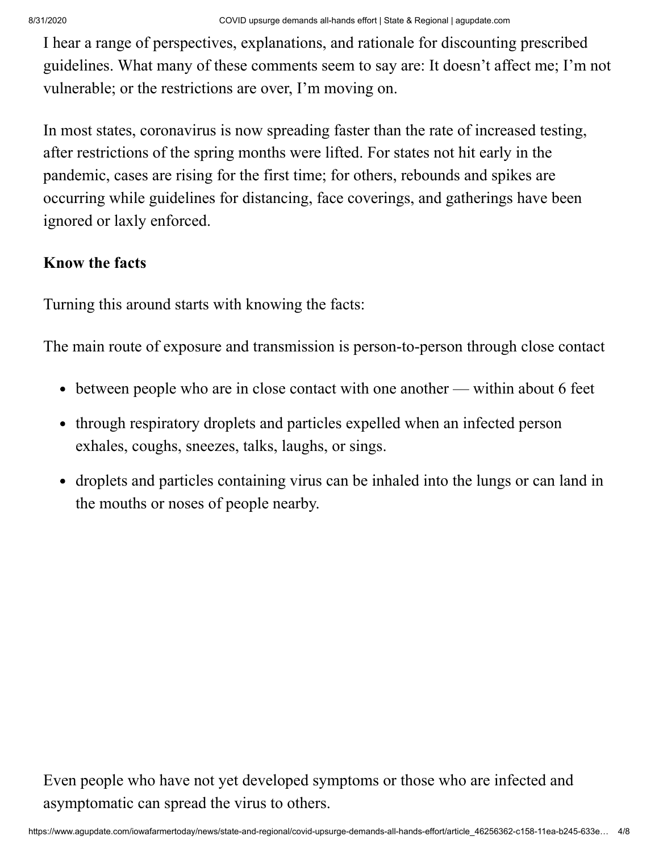I hear a range of perspectives, explanations, and rationale for discounting prescribed guidelines. What many of these comments seem to say are: It doesn't affect me; I'm not vulnerable; or the restrictions are over, I'm moving on.

In most states, coronavirus is now spreading faster than the rate of increased testing, after restrictions of the spring months were lifted. For states not hit early in the pandemic, cases are rising for the first time; for others, rebounds and spikes are occurring while guidelines for distancing, face coverings, and gatherings have been ignored or laxly enforced.

## **Know the facts**

Turning this around starts with knowing the facts:

The main route of exposure and transmission is person-to-person through close contact

- between people who are in close contact with one another within about 6 feet
- through respiratory droplets and particles expelled when an infected person exhales, coughs, sneezes, talks, laughs, or sings.
- droplets and particles containing virus can be inhaled into the lungs or can land in the mouths or noses of people nearby.

Even people who have not yet developed symptoms or those who are infected and asymptomatic can spread the virus to others.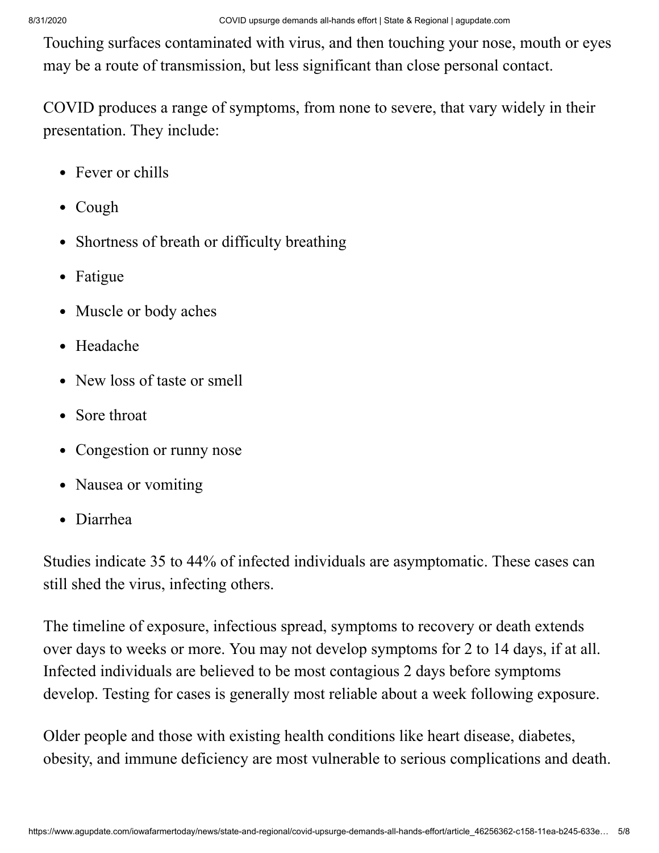Touching surfaces contaminated with virus, and then touching your nose, mouth or eyes may be a route of transmission, but less significant than close personal contact.

COVID produces a range of symptoms, from none to severe, that vary widely in their presentation. They include:

- Fever or chills
- Cough
- Shortness of breath or difficulty breathing
- Fatigue
- Muscle or body aches
- Headache
- New loss of taste or smell
- Sore throat
- Congestion or runny nose
- Nausea or vomiting
- Diarrhea

Studies indicate 35 to 44% of infected individuals are asymptomatic. These cases can still shed the virus, infecting others.

The timeline of exposure, infectious spread, symptoms to recovery or death extends over days to weeks or more. You may not develop symptoms for 2 to 14 days, if at all. Infected individuals are believed to be most contagious 2 days before symptoms develop. Testing for cases is generally most reliable about a week following exposure.

Older people and those with existing health conditions like heart disease, diabetes, obesity, and immune deficiency are most vulnerable to serious complications and death.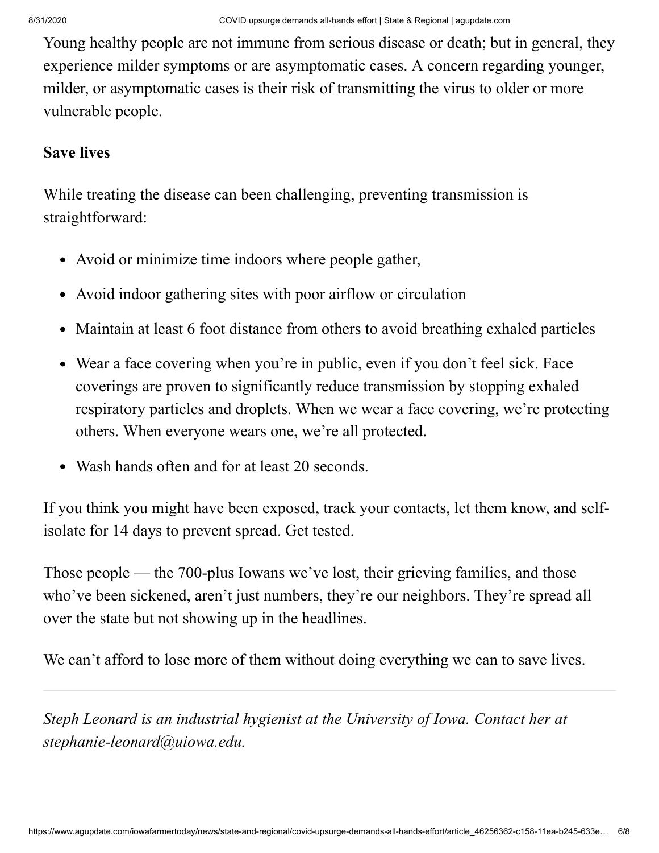Young healthy people are not immune from serious disease or death; but in general, they experience milder symptoms or are asymptomatic cases. A concern regarding younger, milder, or asymptomatic cases is their risk of transmitting the virus to older or more vulnerable people.

## **Save lives**

While treating the disease can been challenging, preventing transmission is straightforward:

- Avoid or minimize time indoors where people gather,
- Avoid indoor gathering sites with poor airflow or circulation
- Maintain at least 6 foot distance from others to avoid breathing exhaled particles
- Wear a face covering when you're in public, even if you don't feel sick. Face coverings are proven to significantly reduce transmission by stopping exhaled respiratory particles and droplets. When we wear a face covering, we're protecting others. When everyone wears one, we're all protected.
- Wash hands often and for at least 20 seconds.

If you think you might have been exposed, track your contacts, let them know, and selfisolate for 14 days to prevent spread. Get tested.

Those people — the 700-plus Iowans we've lost, their grieving families, and those who've been sickened, aren't just numbers, they're our neighbors. They're spread all over the state but not showing up in the headlines.

We can't afford to lose more of them without doing everything we can to save lives.

*Steph Leonard is an industrial hygienist at the University of Iowa. Contact her at [stephanie-leonard@uiowa.edu.](mailto:stephanie-leonard@uiowa.edu)*